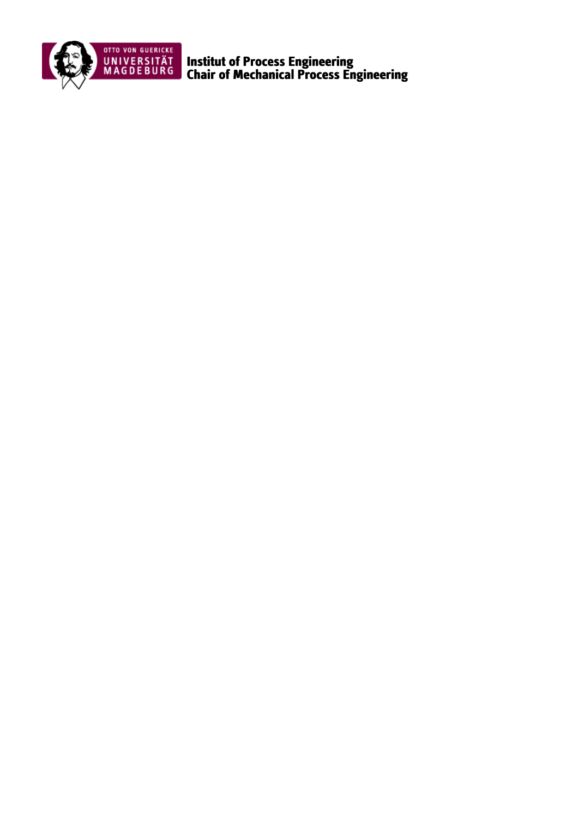

Institut of Process Engineering Chair of Mechanical Process Engineering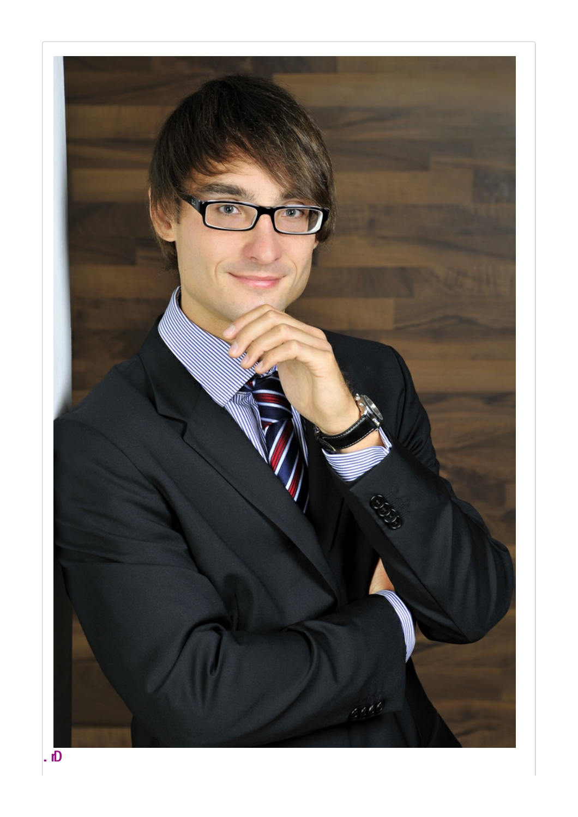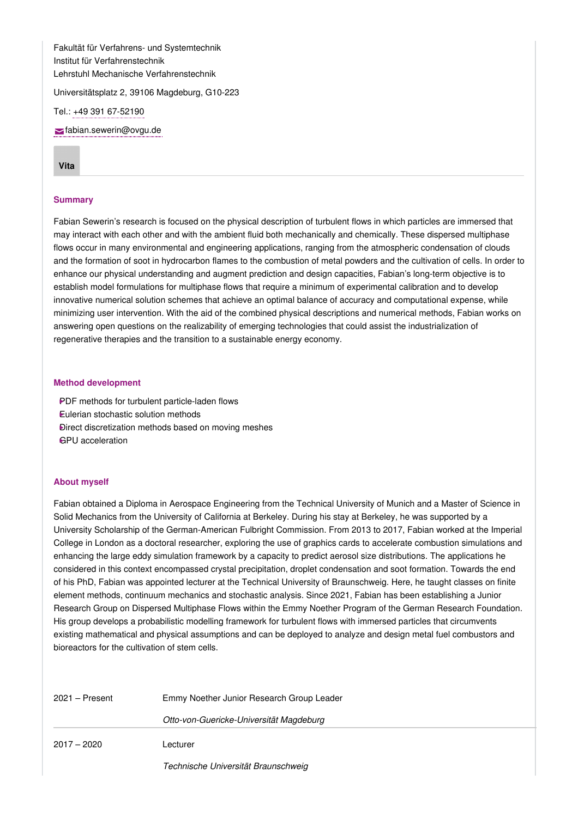Fakultät für Verfahrens- und Systemtechnik Institut für Verfahrenstechnik Lehrstuhl Mechanische Verfahrenstechnik

Universitätsplatz 2, 39106 Magdeburg, G10-223

Tel.: +49 391 [67-52190](tel: +49 391 67-52190)

[fabian.sewerin@ovgu.de](mailto:fabian.sewerin@ovgu.de)

**[Vita](#page-2-0)**

## <span id="page-2-0"></span>**Summary**

Fabian Sewerin's research is focused on the physical description of turbulent flows in which particles are immersed that may interact with each other and with the ambient fluid both mechanically and chemically. These dispersed multiphase flows occur in many environmental and engineering applications, ranging from the atmospheric condensation of clouds and the formation of soot in hydrocarbon flames to the combustion of metal powders and the cultivation of cells. In order to enhance our physical understanding and augment prediction and design capacities, Fabian's long-term objective is to establish model formulations for multiphase flows that require a minimum of experimental calibration and to develop innovative numerical solution schemes that achieve an optimal balance of accuracy and computational expense, while minimizing user intervention. With the aid of the combined physical descriptions and numerical methods, Fabian works on answering open questions on the realizability of emerging technologies that could assist the industrialization of regenerative therapies and the transition to a sustainable energy economy.

#### **Method development**

PDF methods for turbulent particle-laden flows Eulerian stochastic solution methods ‣ Direct discretization methods based on moving meshes ‣ GPU acceleration

# **About myself**

Fabian obtained a Diploma in Aerospace Engineering from the Technical University of Munich and a Master of Science in Solid Mechanics from the University of California at Berkeley. During his stay at Berkeley, he was supported by a University Scholarship of the German-American Fulbright Commission. From 2013 to 2017, Fabian worked at the Imperial College in London as a doctoral researcher, exploring the use of graphics cards to accelerate combustion simulations and enhancing the large eddy simulation framework by a capacity to predict aerosol size distributions. The applications he considered in this context encompassed crystal precipitation, droplet condensation and soot formation. Towards the end of his PhD, Fabian was appointed lecturer at the Technical University of Braunschweig. Here, he taught classes on finite element methods, continuum mechanics and stochastic analysis. Since 2021, Fabian has been establishing a Junior Research Group on Dispersed Multiphase Flows within the Emmy Noether Program of the German Research Foundation. His group develops a probabilistic modelling framework for turbulent flows with immersed particles that circumvents existing mathematical and physical assumptions and can be deployed to analyze and design metal fuel combustors and bioreactors for the cultivation of stem cells.

| $2021 -$ Present | Emmy Noether Junior Research Group Leader |
|------------------|-------------------------------------------|
|                  | Otto-von-Guericke-Universität Magdeburg   |
| $2017 - 2020$    | Lecturer                                  |
|                  | Technische Universität Braunschweig       |